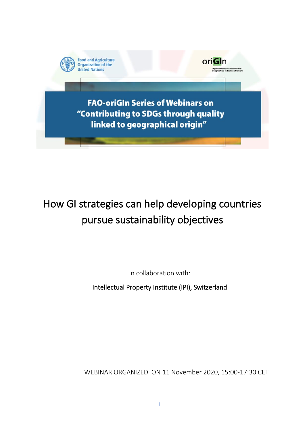

# How GI strategies can help developing countries pursue sustainability objectives

In collaboration with:

Intellectual Property Institute (IPI), Switzerland

WEBINAR ORGANIZED ON 11 November 2020, 15:00-17:30 CET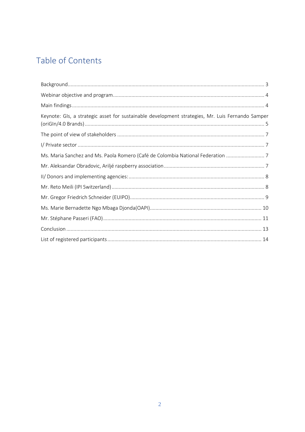## Table of Contents

| Keynote: Gls, a strategic asset for sustainable development strategies, Mr. Luis Fernando Samper |
|--------------------------------------------------------------------------------------------------|
|                                                                                                  |
|                                                                                                  |
| Ms. Maria Sanchez and Ms. Paola Romero (Café de Colombia National Federation                     |
|                                                                                                  |
|                                                                                                  |
|                                                                                                  |
|                                                                                                  |
|                                                                                                  |
|                                                                                                  |
|                                                                                                  |
|                                                                                                  |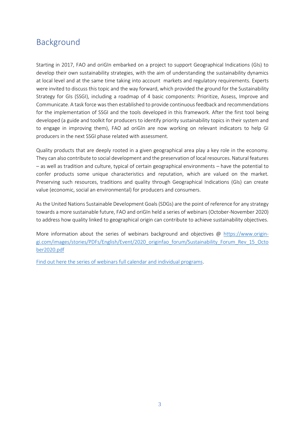### <span id="page-2-0"></span>Background

Starting in 2017, FAO and oriGIn embarked on a project to support Geographical Indications (GIs) to develop their own sustainability strategies, with the aim of understanding the sustainability dynamics at local level and at the same time taking into account markets and regulatory requirements. Experts were invited to discuss this topic and the way forward, which provided the ground for the Sustainability Strategy for GIs (SSGI), including a roadmap of 4 basic components: Prioritize, Assess, Improve and Communicate. A task force was then established to provide continuous feedback and recommendations for the implementation of SSGI and the tools developed in this framework. After the first tool being developed (a guide and toolkit for producers to identify priority sustainability topics in their system and to engage in improving them), FAO ad oriGIn are now working on relevant indicators to help GI producers in the next SSGI phase related with assessment.

Quality products that are deeply rooted in a given geographical area play a key role in the economy. They can also contribute to social development and the preservation of local resources. Natural features – as well as tradition and culture, typical of certain geographical environments – have the potential to confer products some unique characteristics and reputation, which are valued on the market. Preserving such resources, traditions and quality through Geographical Indications (GIs) can create value (economic, social an environmental) for producers and consumers.

As the United Nations Sustainable Development Goals (SDGs) are the point of reference for any strategy towards a more sustainable future, FAO and oriGIn held a series of webinars (October-November 2020) to address how quality linked to geographical origin can contribute to achieve sustainability objectives.

More information about the series of webinars background and objectives @ [https://www.origin](https://www.origin-gi.com/images/stories/PDFs/English/Event/2020_originfao_forum/Sustainability_Forum_Rev_15_October2020.pdf)[gi.com/images/stories/PDFs/English/Event/2020\\_originfao\\_forum/Sustainability\\_Forum\\_Rev\\_15\\_Octo](https://www.origin-gi.com/images/stories/PDFs/English/Event/2020_originfao_forum/Sustainability_Forum_Rev_15_October2020.pdf) [ber2020.pdf](https://www.origin-gi.com/images/stories/PDFs/English/Event/2020_originfao_forum/Sustainability_Forum_Rev_15_October2020.pdf)

[Find out here the series of webinars full calendar and individual programs.](https://www.origin-gi.com/content-page/item/15338-individual-webinars-programs.html)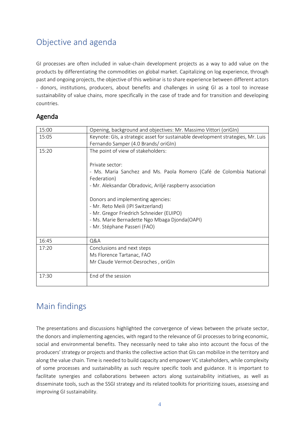## <span id="page-3-0"></span>Objective and agenda

GI processes are often included in value-chain development projects as a way to add value on the products by differentiating the commodities on global market. Capitalizing on log experience, through past and ongoing projects, the objective of this webinar is to share experience between different actors - donors, institutions, producers, about benefits and challenges in using GI as a tool to increase sustainability of value chains, more specifically in the case of trade and for transition and developing countries.

### Agenda

| 15:00                                                                                     | Opening, background and objectives: Mr. Massimo Vittori (oriGIn)                   |  |  |
|-------------------------------------------------------------------------------------------|------------------------------------------------------------------------------------|--|--|
| Keynote: GIs, a strategic asset for sustainable development strategies, Mr. Luis<br>15:05 |                                                                                    |  |  |
|                                                                                           | Fernando Samper (4.0 Brands/ oriGIn)                                               |  |  |
| 15:20                                                                                     | The point of view of stakeholders:                                                 |  |  |
|                                                                                           | Private sector:                                                                    |  |  |
|                                                                                           | - Ms. Maria Sanchez and Ms. Paola Romero (Café de Colombia National<br>Federation) |  |  |
|                                                                                           | - Mr. Aleksandar Obradovic, Ariljé raspberry association                           |  |  |
|                                                                                           | Donors and implementing agencies:                                                  |  |  |
|                                                                                           | - Mr. Reto Meili (IPI Switzerland)                                                 |  |  |
|                                                                                           | - Mr. Gregor Friedrich Schneider (EUIPO)                                           |  |  |
|                                                                                           | - Ms. Marie Bernadette Ngo Mbaga Djonda(OAPI)                                      |  |  |
|                                                                                           | - Mr. Stéphane Passeri (FAO)                                                       |  |  |
| 16:45                                                                                     | Q&A                                                                                |  |  |
| 17:20                                                                                     | Conclusions and next steps                                                         |  |  |
|                                                                                           | Ms Florence Tartanac, FAO                                                          |  |  |
|                                                                                           | Mr Claude Vermot-Desroches, oriGIn                                                 |  |  |
| 17:30                                                                                     | End of the session                                                                 |  |  |

## <span id="page-3-1"></span>Main findings

The presentations and discussions highlighted the convergence of views between the private sector, the donors and implementing agencies, with regard to the relevance of GI processes to bring economic, social and environmental benefits. They necessarily need to take also into account the focus of the producers' strategy or projects and thanks the collective action that GIs can mobilize in the territory and along the value chain. Time is needed to build capacity and empower VC stakeholders, while complexity of some processes and sustainability as such require specific tools and guidance. It is important to facilitate synergies and collaborations between actors along sustainability initiatives, as well as disseminate tools, such as the SSGI strategy and its related toolkits for prioritizing issues, assessing and improving GI sustainability.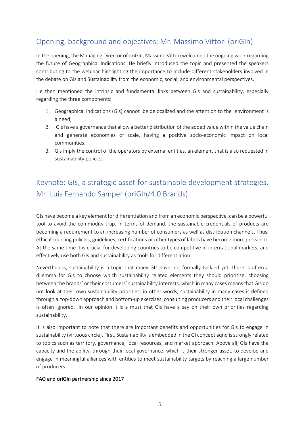### Opening, background and objectives: Mr. Massimo Vittori (oriGIn)

In the opening, the Managing Director of oriGIn, Massimo Vittori welcomed the ongoing work regarding the future of Geographical Indications. He briefly introduced the topic and presented the speakers contributing to the webinar highlighting the importance to include different stakeholders involved in the debate on GIs and Sustainability from the economic, social, and environmental perspectives.

He then mentioned the intrinsic and fundamental links between GIs and sustainability, especially regarding the three components:

- 1. Geographical Indications (GIs) cannot be delocalized and the attention to the environment is a need;
- 2. GIs have a governance that allow a better distribution of the added value within the value chain and generate economies of scale, having a positive socio-economic impact on local communities.
- 3. GIs imply the control of the operators by external entities, an element that is also requested in sustainability policies.

### <span id="page-4-0"></span>Keynote: GIs, a strategic asset for sustainable development strategies, Mr. Luis Fernando Samper (oriGIn/4.0 Brands)

GIs have become a key element for differentiation and from an economic perspective, can be a powerful tool to avoid the commodity trap. In terms of demand, the sustainable credentials of products are becoming a requirement to an increasing number of consumers as well as distribution channels. Thus, ethical sourcing policies, guidelines, certifications or other types of labels have become more prevalent. At the same time it is crucial for developing countries to be competitive in international markets, and effectively use both GIs and sustainability as tools for differentiation. .

Nevertheless, sustainability is a topic that many GIs have not formally tackled yet: there is often a dilemma for GIs to choose which sustainability related elements they should prioritize, choosing between the brands' or their costumers' sustainability interests, which in many cases means that GIs do not look at their own sustainability priorities: in other words, sustainability in many cases is defined through a top-down approach and bottom-up exercises, consulting producers and their local challenges is often ignored. .In our opinion it is a must that GIs have a say on their own priorities regarding sustainability.

It is also important to note that there are important benefits and opportunities for GIs to engage in sustainability (virtuous circle). First, Sustainability is embedded in the GI concept aqnd is strongly related to topics such as territory, governance, local resources, and market approach. Above all, GIs have the capacity and the ability, through their local governance, which is their stronger asset, to develop and engage in meaningful alliances with entities to meet sustainability targets by reaching a large number of producers.

#### FAO and oriGIn partnership since 2017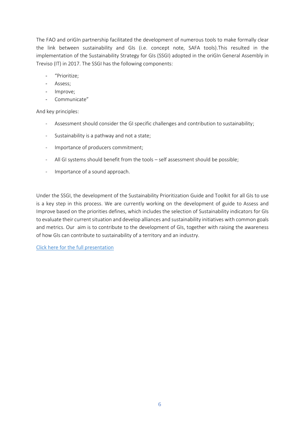The FAO and oriGIn partnership facilitated the development of numerous tools to make formally clear the link between sustainability and GIs (i.e. concept note, SAFA tools).This resulted in the implementation of the Sustainability Strategy for GIs (SSGI) adopted in the oriGIn General Assembly in Treviso (IT) in 2017. The SSGI has the following components:

- "Prioritize;
- Assess;
- Improve;
- Communicate"

And key principles:

- Assessment should consider the GI specific challenges and contribution to sustainability;
- Sustainability is a pathway and not a state;
- Importance of producers commitment;
- All GI systems should benefit from the tools self assessment should be possible;
- Importance of a sound approach.

Under the SSGI, the development of the Sustainability Prioritization Guide and Toolkit for all GIs to use is a key step in this process. We are currently working on the development of guide to Assess and Improve based on the priorities defines, which includes the selection of Sustainability indicators for GIs to evaluate their current situation and develop alliances and sustainability initiatives with common goals and metrics. Our aim is to contribute to the development of GIs, together with raising the awareness of how GIs can contribute to sustainability of a territory and an industry.

[Click here for the full](https://www.origin-gi.com/images/stories/PDFs/English/PPT/oriGIn-FAO_Series_of_webinars_2020-PPT/2020-11-11_GIs_a_strategic_asset_for_sustainable_development_Luis_Samper-REV.pdf) presentation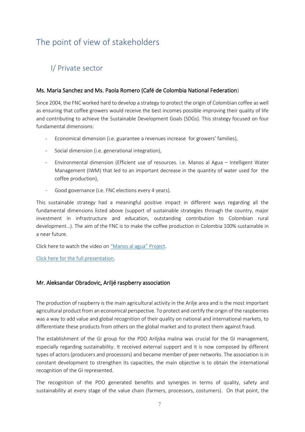## <span id="page-6-0"></span>The point of view of stakeholders

### <span id="page-6-1"></span>I/ Private sector

#### <span id="page-6-2"></span>Ms. Maria Sanchez and Ms. Paola Romero (Café de Colombia National Federation)

Since 2004, the FNC worked hard to develop a strategy to protect the origin of Colombian coffee as well as ensuring that coffee growers would receive the best incomes possible improving their quality of life and contributing to achieve the Sustainable Development Goals (SDGs). This strategy focused on four fundamental dimensions:

- Economical dimension (i.e. guarantee a revenues increase for growers' families),
- Social dimension (i.e. generational integration),
- Environmental dimension (Efficient use of resources. i.e. Manos al Agua Intelligent Water Management (IWM) that led to an important decrease in the quantity of water used for the coffee production),
- Good governance (i.e. FNC elections every 4 years).

This sustainable strategy had a meaningful positive impact in different ways regarding all the fundamental dimensions listed above (support of sustainable strategies through the country, major investment in infrastructure and education, outstanding contribution to Colombian rural development…). The aim of the FNC is to make the coffee production in Colombia 100% sustainable in a near future.

Click here to watch the video on ["Manos al agua"](https://www.youtube.com/watch?v=16ZwcEbQ8aw&ab_channel=ManosalAguaGesti%C3%B3nInteligentedelAgua) Project.

[Click here for the full](https://www.origin-gi.com/images/stories/PDFs/English/PPT/oriGIn-FAO_Series_of_webinars_2020-PPT/02-_Maria_Sanchez-_oriGIn_-_Colombian_Coffee.pdf) presentation.

#### <span id="page-6-3"></span>Mr. Aleksandar Obradovic, Ariljé raspberry association

The production of raspberry is the main agricultural activity in the Arilje area and is the most important agricultural product from an economical perspective. To protect and certify the origin of the raspberries was a way to add value and global recognition of their quality on national and international markets, to differentiate these products from others on the global market and to protect them against fraud.

The establishment of the GI group for the PDO Ariljska malina was crucial for the GI management, especially regarding sustainability. It received external support and it is now composed by different types of actors (producers and processors) and became member of peer networks. The association is in constant development to strengthen its capacities, the main objective is to obtain the international recognition of the GI represented.

The recognition of the PDO generated benefits and synergies in terms of quality, safety and sustainability at every stage of the value chain (farmers, processors, costumers). On that point, the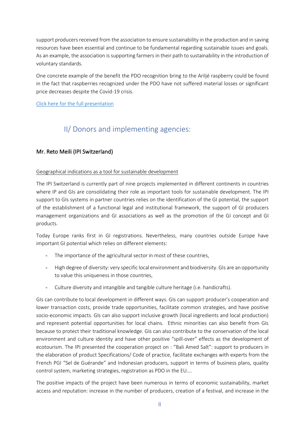support producers received from the association to ensure sustainability in the production and in saving resources have been essential and continue to be fundamental regarding sustainable issues and goals. As an example, the association is supporting farmers in their path to sustainability in the introduction of voluntary standards.

One concrete example of the benefit the PDO recognition bring to the Ariljé raspberry could be found in the fact that raspberries recognized under the PDO have not suffered material losses or significant price decreases despite the Covid-19 crisis.

<span id="page-7-0"></span>[Click here for the full](https://www.origin-gi.com/images/stories/PDFs/English/PPT/oriGIn-FAO_Series_of_webinars_2020-PPT/03-Aleksandar_Obradovic_-Presentation_PDO_Arilje_GI_final.pdf) presentation

### II/ Donors and implementing agencies:

### <span id="page-7-1"></span>Mr. Reto Meili (IPI Switzerland)

#### Geographical indications as a tool for sustainable development

The IPI Switzerland is currently part of nine projects implemented in different continents in countries where IP and GIs are consolidating their role as important tools for sustainable development. The IPI support to GIs systems in partner countries relies on the identification of the GI potential, the support of the establishment of a functional legal and institutional framework, the support of GI producers management organizations and GI associations as well as the promotion of the GI concept and GI products.

Today Europe ranks first in GI registrations. Nevertheless, many countries outside Europe have important GI potential which relies on different elements:

- The importance of the agricultural sector in most of these countries,
- High degree of diversity: very specific local environment and biodiversity. GIs are an opportunity to value this uniqueness in those countries,
- Culture diversity and intangible and tangible culture heritage (i.e. handicrafts).

GIs can contribute to local development in different ways. GIs can support producer's cooperation and lower transaction costs, provide trade opportunities, facilitate common strategies, and have positive socio-economic impacts. GIs can also support inclusive growth (local ingredients and local production) and represent potential opportunities for local chains. Ethnic minorities can also benefit from GIs because to protect their traditional knowledge. GIs can also contribute to the conservation of the local environment and culture identity and have other positive "spill-over" effects as the development of ecotourism. The IPI presented the cooperation project on : "Bali Amed Salt": support to producers in the elaboration of product Specifications/ Code of practice, facilitate exchanges with experts from the French PGI "Sel de Guérande" and Indonesian producers, support in terms of business plans, quality control system, marketing strategies, registration as PDO in the EU….

The positive impacts of the project have been numerous in terms of economic sustainability, market access and reputation: increase in the number of producers, creation of a festival, and increase in the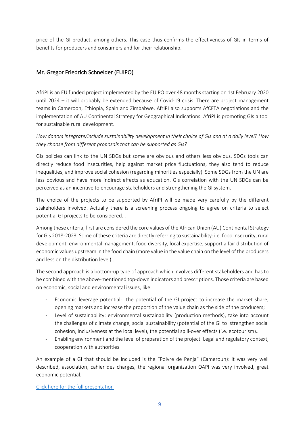price of the GI product, among others. This case thus confirms the effectiveness of GIs in terms of benefits for producers and consumers and for their relationship.

### <span id="page-8-0"></span>Mr. Gregor Friedrich Schneider (EUIPO)

AfriPI is an EU funded project implemented by the EUIPO over 48 months starting on 1st February 2020 until 2024 – it will probably be extended because of Covid-19 crisis. There are project management teams in Cameroon, Ethiopia, Spain and Zimbabwe. AfriPI also supports AfCFTA negotiations and the implementation of AU Continental Strategy for Geographical Indications. AfriPI is promoting GIs a tool for sustainable rural development.

### *How donors integrate/include sustainability development in their choice of GIs and at a daily level? How they choose from different proposals that can be supported as GIs?*

GIs policies can link to the UN SDGs but some are obvious and others less obvious. SDGs tools can directly reduce food insecurities, help against market price fluctuations, they also tend to reduce inequalities, and improve social cohesion (regarding minorities especially). Some SDGs from the UN are less obvious and have more indirect effects as education. GIs correlation with the UN SDGs can be perceived as an incentive to encourage stakeholders and strengthening the GI system.

The choice of the projects to be supported by AfriPI will be made very carefully by the different stakeholders involved. Actually there is a screening process ongoing to agree on criteria to select potential GI projects to be considered. .

Among these criteria, first are considered the core values of the African Union (AU) Continental Strategy for GIs 2018-2023. Some of these criteria are directly referring to sustainability: i.e. food insecurity, rural development, environmental management, food diversity, local expertise, support a fair distribution of economic values upstream in the food chain (more value in the value chain on the level of the producers and less on the distribution level)..

The second approach is a bottom-up type of approach which involves different stakeholders and has to be combined with the above-mentioned top-down indicators and prescriptions. Those criteria are based on economic, social and environmental issues, like:

- Economic leverage potential: the potential of the GI project to increase the market share, opening markets and increase the proportion of the value chain as the side of the producers;
- Level of sustainability: environmental sustainability (production methods), take into account the challenges of climate change, social sustainability (potential of the GI to strengthen social cohesion, inclusiveness at the local level), the potential spill-over effects (i.e. ecotourism)…
- Enabling environment and the level of preparation of the project. Legal and regulatory context, cooperation with authorities

An example of a GI that should be included is the "Poivre de Penja" (Cameroun): it was very well described, association, cahier des charges, the regional organization OAPI was very involved, great economic potential.

[Click here for the full presentation](https://www.origin-gi.com/images/stories/PDFs/English/PPT/oriGIn-FAO_Series_of_webinars_2020-PPT/05-Gregor_Schneider-Presentation_orIGin_FAO.pdf)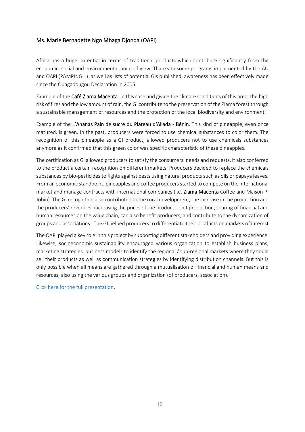#### <span id="page-9-0"></span>Ms. Marie Bernadette Ngo Mbaga Djonda (OAPI)

Africa has a huge potential in terms of traditional products which contribute significantly from the economic, social and environmental point of view. Thanks to some programs implemented by the AU and OAPI (PAMPING 1) as well as lists of potential GIs published, awareness has been effectively made since the Ouagadougou Declaration in 2005.

Example of the Café Ziama Macenta. In this case and giving the climate conditions of this area, the high risk of fires and the low amount of rain, the GI contribute to the preservation of the Ziama forest through a sustainable management of resources and the protection of the local biodiversity and environment.

Example of the L'Ananas Pain de sucre du Plateau d'Allada - Bénin. This kind of pineapple, even once matured, is green. In the past, producers were forced to use chemical substances to color them. The recognition of this pineapple as a GI product, allowed producers not to use chemicals substances anymore as it confirmed that this green color was specific characteristic of these pineapples.

The certification as GI allowed producers to satisfy the consumers' needs and requests, it also conferred to the product a certain recognition on different markets. Producers decided to replace the chemicals substances by bio-pesticides to fights against pests using natural products such as oils or papaya leaves. From an economic standpoint, pineapples and coffee producers started to compete on the international market and manage contracts with international companies (i.e. Ziama Macenta Coffee and Maison P. Jobin). The GI recognition also contributed to the rural development, the increase in the production and the producers' revenues, increasing the prices of the product. Joint production, sharing of financial and human resources on the value chain, can also benefit producers, and contribute to the dynamization of groups and associations. The GI helped producers to differentiate their products on markets of interest

The OAPI played a key role in this project by supporting different stakeholders and providing experience. Likewise, socioeconomic sustainability encouraged various organization to establish business plans, marketing strategies, business models to identify the regional / sub-regional markets where they could sell their products as well as communication strategies by identifying distribution channels. But this is only possible when all means are gathered through a mutualisation of financial and human means and resources, also using the various groups and organization (of producers, association).

[Click here for the full presentation.](https://www.origin-gi.com/images/stories/PDFs/English/PPT/oriGIn-FAO_Series_of_webinars_2020-PPT/05-Gregor_Schneider-Presentation_orIGin_FAO.pdf)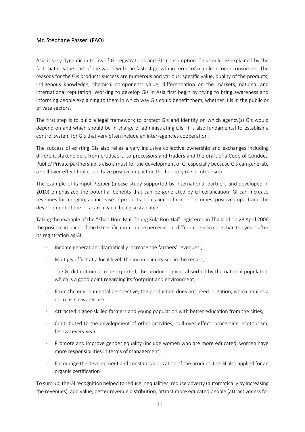### <span id="page-10-0"></span>Mr. Stéphane Passeri (FAO)

Asia is very dynamic in terms of GI registrations and GIs consumption. This could be explained by the fact that it is the part of the world with the fastest growth in terms of middle-income consumers. The reasons for the GIs products success are numerous and various: specific value, quality of the products, indigenous knowledge, chemical components value, differentiation on the markets, national and international reputation. Working to develop GIs in Asia first begin by trying to bring awareness and informing people explaining to them in which way GIs could benefit them, whether it is in the public or private sectors.

The first step is to build a legal framework to protect GIs and identify on which agency(s) GIs would depend on and which should be in charge of administrating GIs. It is also fundamental to establish a control system for GIs that very often include an inter-agencies cooperation.

The success of existing GIs also relies a very inclusive collective ownership and exchanges including different stakeholders from producers, to processors and traders and the draft of a Code of Conduct. Public/ Private partnership is also a must for the development of GI especially because GIs can generate a spill-over effect that could have positive impact on the territory (i.e. ecotourism).

The example of Kampot Pepper (a case study supported by international partners and developed in 2010) emphasized the potential benefits that can be generated by GI certification: GI can increase revenues for a region, an increase in products prices and in farmers' incomes, positive impact and the development of the local area while being sustainable.

Taking the example of the "Khao Hom Mali Thung Kula Ron-Hai" registered in Thailand on 28 April 2006 the positive impacts of the GI certification can be perceived at different levels more than ten years after its registration as GI:

- Income generation: dramatically increase the farmers' revenues;,
- Multiply effect at a local level: the income increased in the region;
- The GI did not need to be exported, the production was absorbed by the national population which is a good point regarding its footprint and environment;
- From the environmental perspective, the production does not need irrigation, which implies a decrease in water use;
- Attracted higher-skilled farmers and young population with better education from the cities,
- Contributed to the development of other activities, spill-over effect: processing, ecotourism, festival every year
- Promote and improve gender equality (include women who are more educated, women have more responsibilities in terms of management)
- Encourage the development and constant valorization of the product: the GI also applied for an organic certification

To sum up, the GI recognition helped to reduce inequalities, reduce poverty (automatically by increasing the revenues), add value, better revenue distribution, attract more educated people (attractiveness for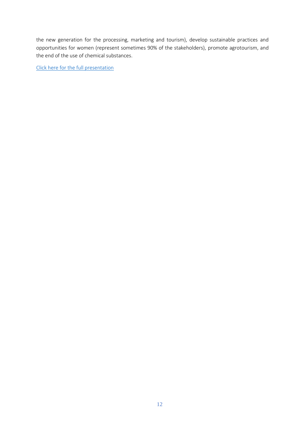the new generation for the processing, marketing and tourism), develop sustainable practices and opportunities for women (represent sometimes 90% of the stakeholders), promote agrotourism, and the end of the use of chemical substances.

[Click here for the full presentation](https://www.origin-gi.com/images/stories/PDFs/English/PPT/oriGIn-FAO_Series_of_webinars_2020-PPT/07-S_passeri_Presentation_OriGIn_11_Nov_2020.pdf)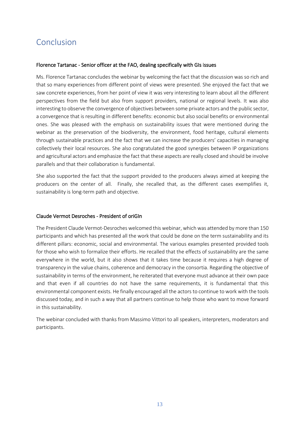### <span id="page-12-0"></span>Conclusion

#### Florence Tartanac - Senior officer at the FAO, dealing specifically with GIs issues

Ms. Florence Tartanac concludes the webinar by welcoming the fact that the discussion was so rich and that so many experiences from different point of views were presented. She enjoyed the fact that we saw concrete experiences, from her point of view it was very interesting to learn about all the different perspectives from the field but also from support providers, national or regional levels. It was also interesting to observe the convergence of objectives between some private actors and the public sector, a convergence that is resulting in different benefits: economic but also social benefits or environmental ones. She was pleased with the emphasis on sustainability issues that were mentioned during the webinar as the preservation of the biodiversity, the environment, food heritage, cultural elements through sustainable practices and the fact that we can increase the producers' capacities in managing collectively their local resources. She also congratulated the good synergies between IP organizations and agricultural actors and emphasize the fact that these aspects are really closed and should be involve parallels and that their collaboration is fundamental.

She also supported the fact that the support provided to the producers always aimed at keeping the producers on the center of all. Finally, she recalled that, as the different cases exemplifies it, sustainability is long-term path and objective.

#### Claude Vermot Desroches - President of oriGIn

The President Claude Vermot-Desroches welcomed this webinar, which was attended by more than 150 participants and which has presented all the work that could be done on the term sustainability and its different pillars: economic, social and environmental. The various examples presented provided tools for those who wish to formalize their efforts. He recalled that the effects of sustainability are the same everywhere in the world, but it also shows that it takes time because it requires a high degree of transparency in the value chains, coherence and democracy in the consortia. Regarding the objective of sustainability in terms of the environment, he reiterated that everyone must advance at their own pace and that even if all countries do not have the same requirements, it is fundamental that this environmental component exists. He finally encouraged all the actors to continue to work with the tools discussed today, and in such a way that all partners continue to help those who want to move forward in this sustainability.

The webinar concluded with thanks from Massimo Vittori to all speakers, interpreters, moderators and participants.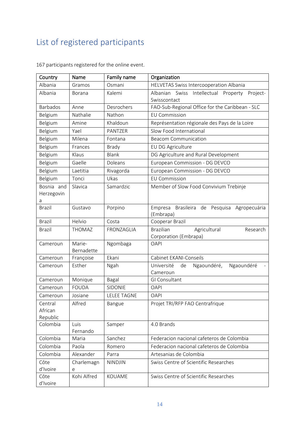## <span id="page-13-0"></span>List of registered participants

| Country                        | Name                 | Family name        | Organization                                                          |
|--------------------------------|----------------------|--------------------|-----------------------------------------------------------------------|
| Albania                        | Gramos               | Osmani             | HELVETAS Swiss Intercooperation Albania                               |
| Albania                        | Borana               | Kalemi             | Albanian Swiss Intellectual<br>Property<br>Project-<br>Swisscontact   |
| <b>Barbados</b>                | Anne                 | Desrochers         | FAO-Sub-Regional Office for the Caribbean - SLC                       |
| Belgium                        | Nathalie             | Nathon             | <b>EU Commission</b>                                                  |
| Belgium                        | Amine                | Khaldoun           | Représentation régionale des Pays de la Loire                         |
| Belgium                        | Yael                 | PANTZER            | Slow Food International                                               |
| Belgium                        | Milena               | Fontana            | <b>Beacom Communication</b>                                           |
| Belgium                        | Frances              | <b>Brady</b>       | EU DG Agriculture                                                     |
| Belgium                        | Klaus                | Blank              | DG Agriculture and Rural Development                                  |
| Belgium                        | Gaelle               | Doleans            | European Commission - DG DEVCO                                        |
| Belgium                        | Laetitia             | Rivagorda          | European Commission - DG DEVCO                                        |
| Belgium                        | Tonci                | Ukas               | <b>EU Commission</b>                                                  |
| Bosnia and<br>Herzegovin<br>a  | Slavica              | Samardzic          | Member of Slow Food Convivium Trebinje                                |
| <b>Brazil</b>                  | Gustavo              | Porpino            | Empresa Brasileira de Pesquisa Agropecuária<br>(Embrapa)              |
| <b>Brazil</b>                  | Helvio               | Costa              | Cooperar Brazil                                                       |
| <b>Brazil</b>                  | <b>THOMAZ</b>        | FRONZAGLIA         | <b>Brazilian</b><br>Agricultural<br>Research<br>Corporation (Embrapa) |
| Cameroun                       | Marie-<br>Bernadette | Ngombaga           | <b>OAPI</b>                                                           |
| Cameroun                       | Françoise            | Ekani              | Cabinet EKANI-Conseils                                                |
| Cameroun                       | Esther               | Ngah               | Université<br>Ngaoundéré<br>de<br>Ngaoundéré,<br>Cameroun             |
| Cameroun                       | Monique              | Bagal              | GI Consultant                                                         |
| Cameroun                       | <b>FOUDA</b>         | SIDONIE            | <b>OAPI</b>                                                           |
| Cameroun                       | Josiane              | <b>LELEE TAGNE</b> | <b>OAPI</b>                                                           |
| Central<br>African<br>Republic | Alfred               | Bangue             | Projet TRI/RFP FAO Centrafrique                                       |
| Colombia                       | Luis<br>Fernando     | Samper             | 4.0 Brands                                                            |
| Colombia                       | Maria                | Sanchez            | Federacion nacional cafeteros de Colombia                             |
| Colombia                       | Paola                | Romero             | Federacion nacional cafeteros de Colombia                             |
| Colombia                       | Alexander            | Parra              | Artesanias de Colombia                                                |
| Côte<br>d'Ivoire               | Charlemagn<br>e      | <b>NINDJIN</b>     | Swiss Centre of Scientific Researches                                 |
| Côte<br>d'Ivoire               | Kohi Alfred          | KOUAME             | Swiss Centre of Scientific Researches                                 |

167 participants registered for the online event.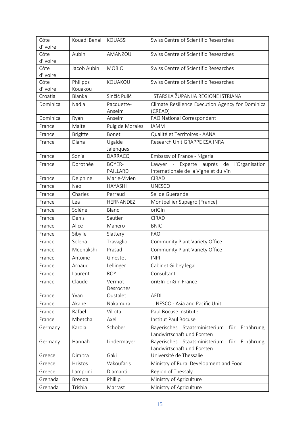| Côte             | Kouadi Benal        | <b>KOUASSI</b>      | Swiss Centre of Scientific Researches                                            |
|------------------|---------------------|---------------------|----------------------------------------------------------------------------------|
| d'Ivoire         |                     |                     |                                                                                  |
| Côte<br>d'Ivoire | Aubin               | AMANZOU             | Swiss Centre of Scientific Researches                                            |
| Côte             | Jacob Aubin         | <b>MOBIO</b>        | Swiss Centre of Scientific Researches                                            |
| d'Ivoire         |                     |                     |                                                                                  |
| Côte<br>d'Ivoire | Philipps<br>Kouakou | KOUAKOU             | Swiss Centre of Scientific Researches                                            |
| Croatia          | Blanka              | Sinčić Pulić        | ISTARSKA ŽUPANIJA REGIONE ISTRIANA                                               |
| Dominica         | Nadia               | Pacquette-          | Climate Resilience Execution Agency for Dominica                                 |
|                  |                     | Anselm              | (CREAD)                                                                          |
| Dominica         | Ryan                | Anselm              | FAO National Correspondent                                                       |
| France           | Maite               | Puig de Morales     | <b>IAMM</b>                                                                      |
| France           | <b>Brigitte</b>     | Bonet               | Qualité et Territoires - AANA                                                    |
| France           | Diana               | Ugalde<br>Jalenques | Research Unit GRAPPE ESA INRA                                                    |
| France           | Sonia               | <b>DARRACQ</b>      | Embassy of France - Nigeria                                                      |
| France           | Dorothée            | <b>BOYER-</b>       | Lawyer - Experte auprès de l'Organisation                                        |
|                  |                     | PAILLARD            | Internationale de la Vigne et du Vin                                             |
| France           | Delphine            | Marie-Vivien        | <b>CIRAD</b>                                                                     |
| France           | Nao                 | <b>HAYASHI</b>      | <b>UNESCO</b>                                                                    |
| France           | Charles             | Perraud             | Sel de Guerande                                                                  |
| France           | Lea                 | HERNANDEZ           | Montpellier Supagro (France)                                                     |
| France           | Solène              | Blanc               | oriGIn                                                                           |
| France           | Denis               | Sautier             | <b>CIRAD</b>                                                                     |
| France           | Alice               | Manero              | <b>BNIC</b>                                                                      |
| France           | Sibylle             | Slattery            | <b>FAO</b>                                                                       |
| France           | Selena              | Travaglio           | Community Plant Variety Office                                                   |
| France           | Meenakshi           | Prasad              | Community Plant Variety Office                                                   |
| France           | Antoine             | Ginestet            | <b>INPI</b>                                                                      |
| France           | Arnaud              | Lellinger           | Cabinet Gilbey legal                                                             |
| France           | Laurent             | <b>ROY</b>          | Consultant                                                                       |
| France           | Claude              | Vermot-             | oriGln-oriGln France                                                             |
|                  |                     | Desroches           |                                                                                  |
| France           | Yvan                | Oustalet            | <b>AFDI</b>                                                                      |
| France           | Akane               | Nakamura            | UNESCO - Asia and Pacific Unit                                                   |
| France           | Rafael              | Villota             | Paul Bocuse Institute                                                            |
| France           | Mbetcha             | Axel                | Institut Paul Bocuse                                                             |
| Germany          | Karola              | Schober             | Bayerisches Staatsministerium für<br>Ernährung,<br>Landwirtschaft und Forsten    |
| Germany          | Hannah              | Lindermayer         | Bayerisches Staatsministerium<br>für<br>Ernährung,<br>Landwirtschaft und Forsten |
| Greece           | Dimitra             | Gaki                | Université de Thessalie                                                          |
| Greece           | Hristos             | Vakoufaris          | Ministry of Rural Development and Food                                           |
| Greece           | Lamprini            | Diamanti            | Region of Thessaly                                                               |
| Grenada          | Brenda              | Phillip             | Ministry of Agriculture                                                          |
| Grenada          | Trishia             | Marrast             | Ministry of Agriculture                                                          |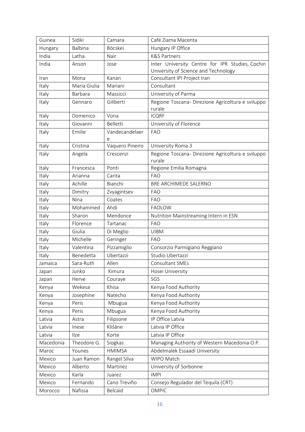| Guinea    | Sidiki         | Camara              | Café Ziama Macenta                                          |
|-----------|----------------|---------------------|-------------------------------------------------------------|
| Hungary   | <b>Balbina</b> | Böcskei             | Hungary IP Office                                           |
| India     | Latha          | Nair                | <b>K&amp;S Partners</b>                                     |
| India     | Anson          | Jose                | Inter University Centre for IPR Studies, Cochin             |
|           |                |                     | University of Science and Technology                        |
| Iran      | Mona           | Kanan               | Consultant IPI Project Iran                                 |
| Italy     | Maria Giulia   | Mariani             | Consultant                                                  |
| Italy     | Barbara        | Massicci            | University of Parma                                         |
| Italy     | Gennaro        | Giliberti           | Regione Toscana- Direzione Agricoltura e sviluppo<br>rurale |
| Italy     | Domenico       | Vona                | <b>ICQRF</b>                                                |
| Italy     | Giovanni       | Belletti            | University of Florence                                      |
| Italy     | Emilie         | Vandecandelaer<br>e | <b>FAO</b>                                                  |
| Italy     | Cristina       | Vaquero Pineiro     | University Roma 3                                           |
| Italy     | Angela         | Crescenzi           | Regione Toscana- Direzione Agricoltura e sviluppo<br>rurale |
| Italy     | Francesca      | Ponti               | Regione Emilia Romagna                                      |
| Italy     | Arianna        | Carita              | <b>FAO</b>                                                  |
| Italy     | Achille        | Bianchi             | BRE ARCHIMEDE SALERNO                                       |
| Italy     | Dimitry        | Zvyagintsev         | <b>FAO</b>                                                  |
| Italy     | Nina           | Coates              | <b>FAO</b>                                                  |
| Italy     | Mohammed       | Ahdi                | <b>FAOLOW</b>                                               |
| Italy     | Sharon         | Mendonce            | Nutrition Mainstreaming Intern in ESN                       |
| Italy     | Florence       | Tartanac            | <b>FAO</b>                                                  |
| Italy     | Giulia         | Di Meglio           | <b>UIBM</b>                                                 |
| Italy     | Michelle       | Geringer            | <b>FAO</b>                                                  |
| Italy     | Valentina      | Pizzamiglio         | Consorzio Parmigiano Reggiano                               |
| Italy     | Benedetta      | Ubertazzi           | Studio Ubertazzi                                            |
| Jamaica   | Sara-Ruth      | Allen               | Consultant SMEs                                             |
| Japan     | Junko          | Kimura              | Hosei University                                            |
| Japan     | Herve          | Couraye             | SGS                                                         |
| Kenya     | Wekesa         | Khisa               | Kenya Food Authority                                        |
| Kenya     | Josephine      | Natecho             | Kenya Food Authority                                        |
| Kenya     | Peris          | Mbugua              | Kenya Food Authority                                        |
| Kenya     | Peris          | Mbugua              | Kenya Food Authority                                        |
| Latvia    | Astra          | Filipsone           | IP Office Latvia                                            |
| Latvia    | Inese          | Klišāne             | Latvia IP Office                                            |
| Latvia    | Ilze           | Korte               | Latvia IP Office                                            |
| Macedonia | Theodore G.    | Siogkas             | Managing Authority of Western Macedonia O.P.                |
| Maroc     | Younes         | <b>HMIMSA</b>       | Abdelmalek Essaadi University                               |
| Mexico    | Juan Ramon     | Rangel Silva        | WIPO Match                                                  |
| Mexico    | Alberto        | Martinez            | University of Sorbonne                                      |
| Mexico    | Karla          | Juarez              | <b>IMPI</b>                                                 |
| Mexico    | Fernando       | Cano Treviño        | Consejo Regulador del Tequila (CRT)                         |
| Morocco   | Nafissa        | Belcaid             | <b>OMPIC</b>                                                |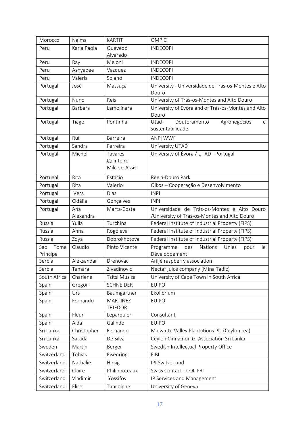| Morocco                 | Naima       | <b>KARTIT</b>                     | <b>OMPIC</b>                                                               |
|-------------------------|-------------|-----------------------------------|----------------------------------------------------------------------------|
| Peru                    | Karla Paola | Quevedo                           | <b>INDECOPI</b>                                                            |
|                         |             | Alvarado                          |                                                                            |
| Peru                    | Ray         | Meloni                            | <b>INDECOPI</b>                                                            |
| Peru                    | Ashyadee    | Vazquez                           | <b>INDECOPI</b>                                                            |
| Peru                    | Valeria     | Solano                            | <b>INDECOPI</b>                                                            |
| Portugal                | José        | Massuça                           | University - Universidade de Trás-os-Montes e Alto<br>Douro                |
| Portugal                | Nuno        | Reis                              | University of Trás-os-Montes and Alto Douro                                |
| Portugal                | Barbara     | Lamolinara                        | University of Evora and of Trás-os-Montes and Alto                         |
|                         |             |                                   | Douro                                                                      |
| Portugal                | Tiago       | Pontinha                          | Utad-<br>Doutoramento<br>Agronegócios<br>e                                 |
|                         |             |                                   | sustentabilidade                                                           |
| Portugal                | Rui         | <b>Barreira</b>                   | ANP   WWF                                                                  |
| Portugal                | Sandra      | Ferreira                          | University UTAD                                                            |
| Portugal                | Michel      | Tavares                           | University of Évora / UTAD - Portugal                                      |
|                         |             | Quinteiro                         |                                                                            |
|                         |             | <b>Milcent Assis</b>              |                                                                            |
| Portugal                | Rita        | Estacio                           | Regia-Douro Park                                                           |
| Portugal                | Rita        | Valerio                           | Oikos - Cooperação e Desenvolvimento                                       |
| Portugal                | Vera        | Dias                              | <b>INPI</b>                                                                |
| Portugal                | Cidália     | Gonçalves                         | <b>INPI</b>                                                                |
| Portugal                | Ana         | Marta-Costa                       | Universidade de Trás-os-Montes e Alto Douro                                |
|                         | Alexandra   |                                   | /University of Trás-os-Montes and Alto Douro                               |
| Russia                  | Yulia       | Turchina                          | Federal Institute of Industrial Property (FIPS)                            |
| Russia                  | Anna        | Rogoleva                          | Federal Institute of Industrial Property (FIPS)                            |
| Russia                  | Zoya        | Dobrokhotova                      | Federal Institute of Industrial Property (FIPS)                            |
| Tome<br>Sao<br>Principe | Claudio     | Pinto Vicente                     | Programme<br>des<br><b>Nations</b><br>Unies<br>le<br>pour<br>Développement |
| Serbia                  | Aleksandar  | Drenovac                          | Ariljé raspberry association                                               |
| Serbia                  | Tamara      | Zivadinovic                       | Nectar juice company (Mina Tadic)                                          |
| South Africa            | Charlene    | Tsitsi Musiza                     | University of Cape Town in South Africa                                    |
| Spain                   | Gregor      | <b>SCHNEIDER</b>                  | <b>EUIPO</b>                                                               |
| Spain                   | Urs         | Baumgartner                       | Ekolibrium                                                                 |
| Spain                   | Fernando    | <b>MARTINEZ</b><br><b>TEJEDOR</b> | <b>EUIPO</b>                                                               |
| Spain                   | Fleur       | Leparquier                        | Consultant                                                                 |
| Spain                   | Aida        | Galindo                           | <b>EUIPO</b>                                                               |
| Sri Lanka               | Christopher | Fernando                          | Malwatte Valley Plantations Plc (Ceylon tea)                               |
| Sri Lanka               | Sarada      | De Silva                          | Ceylon Cinnamon GI Association Sri Lanka                                   |
| Sweden                  | Martin      | Berger                            | Swedish Intellectual Property Office                                       |
| Switzerland             | Tobias      | Eisenring                         | <b>FIBL</b>                                                                |
| Switzerland             | Nathalie    | Hirsig                            | IPI Switzerland                                                            |
| Switzerland             | Claire      | Philippoteaux                     | Swiss Contact - COLIPRI                                                    |
| Switzerland             | Vladimir    | Yossifov                          | IP Services and Management                                                 |
| Switzerland             | Elise       | Tancoigne                         | University of Geneva                                                       |